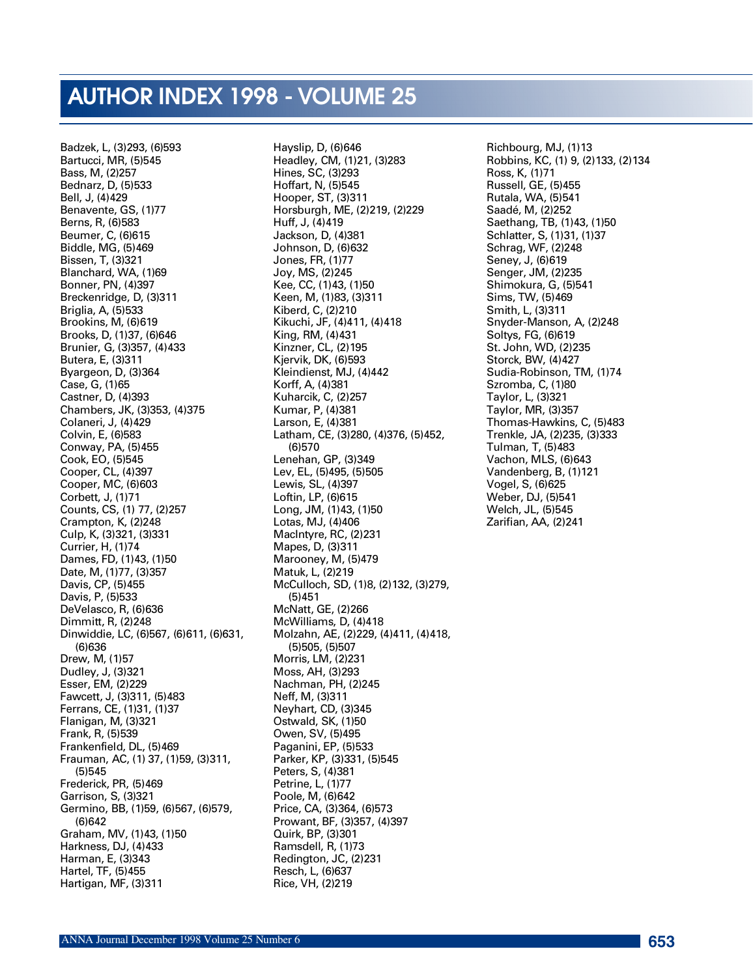# AUTHOR INDEX 1998 - VOLUME 25

Badzek, L, (3)293, (6)593 Bartucci, MR, (5)545 Bass, M, (2)257 Bednarz, D, (5)533 Bell, J, (4)429 Benavente, GS, (1)77 Berns, R, (6)583 Beumer, C, (6)615 Biddle, MG, (5)469 Bissen, T, (3)321 Blanchard, WA, (1)69 Bonner, PN, (4)397 Breckenridge, D, (3)311 Briglia, A, (5)533 Brookins, M, (6)619 Brooks, D, (1)37, (6)646 Brunier, G, (3)357, (4)433 Butera, E, (3)311 Byargeon, D, (3)364 Case, G, (1)65 Castner, D, (4)393 Chambers, JK, (3)353, (4)375 Colaneri, J, (4)429 Colvin, E, (6)583 Conway, PA, (5)455 Cook, EO, (5)545 Cooper, CL, (4)397 Cooper, MC, (6)603 Corbett, J, (1)71 Counts, CS, (1) 77, (2)257 Crampton, K, (2)248 Culp, K, (3)321, (3)331 Currier, H, (1)74 Dames, FD, (1)43, (1)50 Date, M, (1)77, (3)357 Davis, CP, (5)455 Davis, P, (5)533 DeVelasco, R, (6)636 Dimmitt, R, (2)248 Dinwiddie, LC, (6)567, (6)611, (6)631,  $(6)636$ Drew, M, (1)57 Dudley, J, (3)321 Esser, EM, (2)229 Fawcett, J, (3)311, (5)483 Ferrans, CE, (1)31, (1)37 Flanigan, M, (3)321 Frank, R, (5)539 Frankenfield, DL, (5)469 Frauman, AC, (1) 37, (1)59, (3)311,  $(5)545$ Frederick, PR, (5)469 Garrison, S, (3)321 Germino, BB, (1)59, (6)567, (6)579,  $(6)642$ Graham, MV, (1)43, (1)50 Harkness, DJ, (4)433 Harman, E, (3)343 Hartel, TF, (5)455 Hartigan, MF, (3)311

Hayslip, D, (6)646 Headley, CM, (1)21, (3)283 Hines, SC, (3)293 Hoffart, N, (5)545 Hooper, ST, (3)311 Horsburgh, ME, (2)219, (2)229 Huff, J, (4)419 Jackson, D, (4)381 Johnson, D, (6)632 Jones, FR, (1)77 Joy, MS, (2)245 Kee, CC, (1)43, (1)50 Keen, M, (1)83, (3)311 Kiberd, C, (2)210 Kikuchi, JF, (4)411, (4)418 King, RM, (4)431 Kinzner, CL, (2)195 Kjervik, DK, (6)593 Kleindienst, MJ, (4)442 Korff, A, (4)381 Kuharcik, C, (2)257 Kumar, P, (4)381 Larson, E, (4)381 Latham, CE, (3)280, (4)376, (5)452,  $(6)570$ Lenehan, GP, (3)349 Lev, EL, (5)495, (5)505 Lewis, SL, (4)397 Loftin, LP, (6)615 Long, JM, (1)43, (1)50 Lotas, MJ, (4)406 MacIntyre, RC, (2)231 Mapes, D, (3)311 Marooney, M, (5)479 Matuk, L, (2)219 McCulloch, SD, (1)8, (2)132, (3)279,  $(5)451$ McNatt, GE, (2)266 McWilliams, D, (4)418 Molzahn, AE, (2)229, (4)411, (4)418, (5)505, (5)507 Morris, LM, (2)231 Moss, AH, (3)293 Nachman, PH, (2)245 Neff, M, (3)311 Neyhart, CD, (3)345 Ostwald, SK, (1)50 Owen, SV, (5)495 Paganini, EP, (5)533 Parker, KP, (3)331, (5)545 Peters, S, (4)381 Petrine, L, (1)77 Poole, M, (6)642 Price, CA, (3)364, (6)573 Prowant, BF, (3)357, (4)397 Quirk, BP, (3)301 Ramsdell, R, (1)73 Redington, JC, (2)231 Resch, L, (6)637 Rice, VH, (2)219

Richbourg, MJ, (1)13 Robbins, KC, (1) 9, (2)133, (2)134 Ross, K, (1)71 Russell, GE, (5)455 Rutala, WA, (5)541 Saadé, M, (2)252 Saethang, TB, (1)43, (1)50 Schlatter, S, (1)31, (1)37 Schrag, WF, (2)248 Seney, J, (6)619 Senger, JM, (2)235 Shimokura, G, (5)541 Sims, TW, (5)469 Smith, L, (3)311 Snyder-Manson, A, (2)248 Soltys, FG, (6)619 St. John, WD, (2)235 Storck, BW, (4)427 Sudia-Robinson, TM, (1)74 Szromba, C, (1)80 Taylor, L, (3)321 Taylor, MR, (3)357 Thomas-Hawkins, C, (5)483 Trenkle, JA, (2)235, (3)333 Tulman, T, (5)483 Vachon, MLS, (6)643 Vandenberg, B, (1)121 Vogel, S, (6)625 Weber, DJ, (5)541 Welch, JL, (5)545 Zarifian, AA, (2)241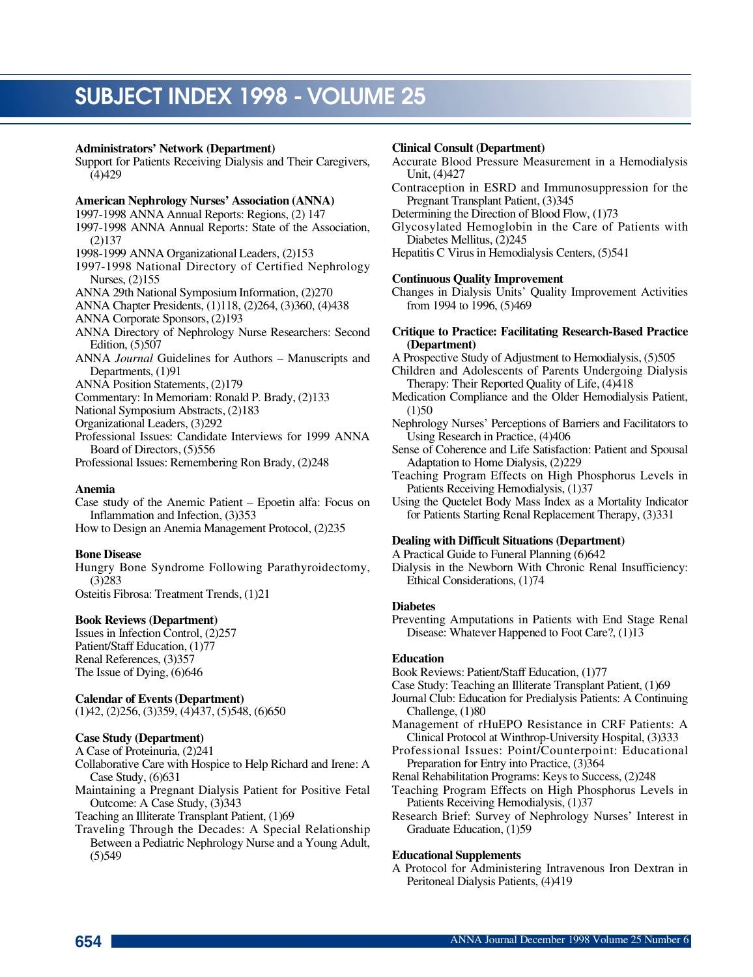# **Administrators' Network (Department)**

Support for Patients Receiving Dialysis and Their Caregivers,  $(4)429$ 

# **American Nephrology Nurses' Association (ANNA)**

1997-1998 ANNA Annual Reports: Regions, (2) 147

- 1997-1998 ANNA Annual Reports: State of the Association,  $(2)$ 137
- 1998-1999 ANNA Organizational Leaders, (2)153
- 1997-1998 National Directory of Certified Nephrology Nurses, (2)155
- ANNA 29th National Symposium Information, (2)270
- ANNA Chapter Presidents, (1)118, (2)264, (3)360, (4)438
- ANNA Corporate Sponsors, (2)193
- ANNA Directory of Nephrology Nurse Researchers: Second Edition, (5)507
- ANNA *Journal* Guidelines for Authors Manuscripts and Departments, (1)91
- ANNA Position Statements, (2)179

Commentary: In Memoriam: Ronald P. Brady, (2)133

National Symposium Abstracts, (2)183

Organizational Leaders, (3)292

Professional Issues: Candidate Interviews for 1999 ANNA Board of Directors, (5)556

Professional Issues: Remembering Ron Brady, (2)248

#### **A n e m i a**

Case study of the Anemic Patient – Epoetin alfa: Focus on Inflammation and Infection, (3)353

How to Design an Anemia Management Protocol, (2)235

# **Bone Disease**

Hungry Bone Syndrome Following Parathyroidectomy,  $(3)$  283

Osteitis Fibrosa: Treatment Trends, (1)21

#### **Book Reviews (Department)**

Issues in Infection Control, (2)257 Patient/Staff Education, (1)77 Renal References, (3)357 The Issue of Dying, (6)646

#### **Calendar of Events(Department)**

(1)42, (2)256, (3)359, (4)437, (5)548, (6)650

# **Case Study (Department)**

A Case of Proteinuria, (2)241

- Collaborative Care with Hospice to Help Richard and Irene: A Case Study, (6)631
- Maintaining a Pregnant Dialysis Patient for Positive Fetal Outcome: A Case Study, (3)343
- Teaching an Illiterate Transplant Patient, (1)69
- Traveling Through the Decades: A Special Relationship Between a Pediatric Nephrology Nurse and a Young Adult,  $(5)$  549

#### **Clinical Consult (Department)**

- Accurate Blood Pressure Measurement in a Hemodialysis Unit, (4)427
- Contraception in ESRD and Immunosuppression for the Pregnant Transplant Patient, (3)345
- Determining the Direction of Blood Flow, (1)73
- Glycosylated Hemoglobin in the Care of Patients with Diabetes Mellitus, (2)245
- Hepatitis C Virus in Hemodialysis Centers, (5)541

#### **Continuous Quality Improvement**

Changes in Dialysis Units' Quality Improvement Activities from 1994 to 1996, (5)469

#### **Critique to Practice: Facilitating Research-Based Practice** (Department)

A Prospective Study of Adjustment to Hemodialysis, (5)505

Children and Adolescents of Parents Undergoing Dialysis Therapy: Their Reported Quality of Life, (4)418

- Medication Compliance and the Older Hemodialysis Patient,  $(1)50$
- Nephrology Nurses' Perceptions of Barriers and Facilitators to Using Research in Practice, (4)406
- Sense of Coherence and Life Satisfaction: Patient and Spousal Adaptation to Home Dialysis, (2)229
- Teaching Program Effects on High Phosphorus Levels in Patients Receiving Hemodialysis, (1)37
- Using the Quetelet Body Mass Index as a Mortality Indicator for Patients Starting Renal Replacement Therapy, (3)331

#### **Dealing with Difficult Situations (Department)**

A Practical Guide to Funeral Planning (6)642

Dialysis in the Newborn With Chronic Renal Insufficiency: Ethical Considerations, (1)74

## **Diabetes**

Preventing Amputations in Patients with End Stage Renal Disease: Whatever Happened to Foot Care?, (1)13

#### **Education**

Book Reviews: Patient/Staff Education, (1)77

Case Study: Teaching an Illiterate Transplant Patient, (1)69

Journal Club: Education for Predialysis Patients: A Continuing Challenge, (1)80

- Management of rHuEPO Resistance in CRF Patients: A Clinical Protocol at Winthrop-University Hospital, (3)333
- Professional Issues: Point/Counterpoint: Educational Preparation for Entry into Practice, (3)364
- Renal Rehabilitation Programs: Keysto Success, (2)248
- Teaching Program Effects on High Phosphorus Levels in Patients Receiving Hemodialysis, (1)37
- Research Brief: Survey of Nephrology Nurses' Interest in Graduate Education, (1)59

#### **Educational Supplements**

A Protocol for Administering Intravenous Iron Dextran in Peritoneal Dialysis Patients, (4)419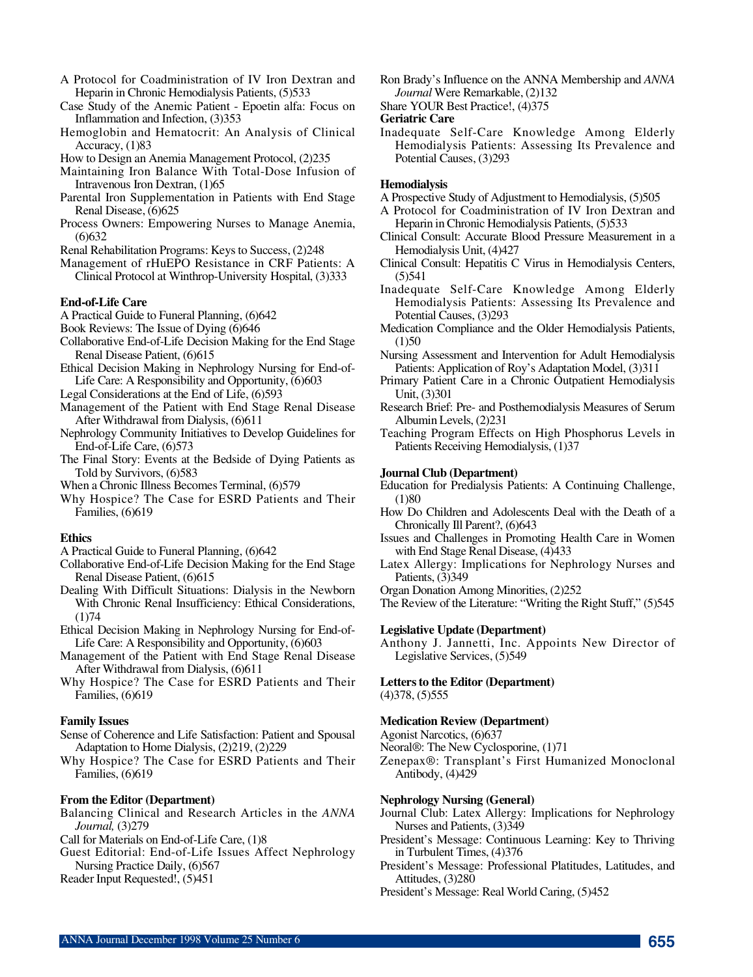- A Protocol for Coadministration of IV Iron Dextran and Heparin in Chronic Hemodialysis Patients, (5)533
- Case Study of the Anemic Patient Epoetin alfa: Focus on Inflammation and Infection, (3)353
- Hemoglobin and Hematocrit: An Analysis of Clinical Accuracy, (1)83
- How to Design an Anemia Management Protocol, (2)235
- Maintaining Iron Balance With Total-Dose Infusion of Intravenous Iron Dextran, (1)65
- Parental Iron Supplementation in Patients with End Stage Renal Disease, (6)625
- Process Owners: Empowering Nurses to Manage Anemia,  $(6)$ 632
- Renal Rehabilitation Programs: Keys to Success, (2)248
- Management of rHuEPO Resistance in CRF Patients: A Clinical Protocol at Winthrop-University Hospital, (3)333

#### **End-of-Life Care**

- A Practical Guide to Funeral Planning, (6)642
- Book Reviews: The Issue of Dying (6)646
- Collaborative End-of-Life Decision Making for the End Stage Renal Disease Patient, (6)615
- Ethical Decision Making in Nephrology Nursing for End-of-Life Care: A Responsibility and Opportunity, (6)603
- Legal Considerations at the End of Life, (6)593
- Management of the Patient with End Stage Renal Disease After Withdrawal from Dialysis, (6)611
- Nephrology Community Initiatives to Develop Guidelines for End-of-Life Care, (6)573
- The Final Story: Events at the Bedside of Dying Patients as Told by Survivors, (6)583
- When a Chronic Illness Becomes Terminal, (6)579
- Why Hospice? The Case for ESRD Patients and Their Families, (6)619

#### **Ethics**

- A Practical Guide to Funeral Planning, (6)642
- Collaborative End-of-Life Decision Making for the End Stage Renal Disease Patient, (6)615
- Dealing With Difficult Situations: Dialysis in the Newborn With Chronic Renal Insufficiency: Ethical Considerations,  $(1)74$
- Ethical Decision Making in Nephrology Nursing for End-of-Life Care: A Responsibility and Opportunity, (6)603
- Management of the Patient with End Stage Renal Disease After Withdrawal from Dialysis, (6)611
- Why Hospice? The Case for ESRD Patients and Their Families, (6)619

#### **Family Issues**

- Sense of Coherence and Life Satisfaction: Patient and Spousal Adaptation to Home Dialysis, (2)219, (2)229
- Why Hospice? The Case for ESRD Patients and Their Families, (6)619

#### **From the Editor (Department)**

- Balancing Clinical and Research Articles in the *ANNA Journal,* (3)279
- Call for Materials on End-of-Life Care, (1)8
- Guest Editorial: End-of-Life Issues Affect Nephrology Nursing Practice Daily, (6)567

Reader Input Requested!, (5)451

- Ron Brady's Influence on the ANNA Membership and *ANNA Journal* Were Remarkable, (2)132
- Share YOUR Best Practice!, (4)375

#### **Geriatric Care**

Inadequate Self-Care Knowledge Among Elderly Hemodialysis Patients: Assessing Its Prevalence and Potential Causes, (3)293

# **Hemodialysis**

- A Prospective Study of Adjustment to Hemodialysis, (5)505
- A Protocol for Coadministration of IV Iron Dextran and Heparin in Chronic Hemodialysis Patients, (5)533
- Clinical Consult: Accurate Blood Pressure Measurement in a Hemodialysis Unit, (4)427
- Clinical Consult: Hepatitis C Virus in Hemodialysis Centers,  $(5)$ 541
- Inadequate Self-Care Knowledge Among Elderly Hemodialysis Patients: Assessing Its Prevalence and Potential Causes, (3)293
- Medication Compliance and the Older Hemodialysis Patients,  $(1)$  50
- Nursing Assessment and Intervention for Adult Hemodialysis Patients: Application of Roy's Adaptation Model, (3)311
- Primary Patient Care in a Chronic Outpatient Hemodialysis Unit, (3)301
- Research Brief: Pre- and Posthemodialysis Measures of Serum Albumin Levels, (2)231
- Teaching Program Effects on High Phosphorus Levels in Patients Receiving Hemodialysis, (1)37

#### **Journal Club (Department)**

- Education for Predialysis Patients: A Continuing Challenge,  $(1)80$
- How Do Children and Adolescents Deal with the Death of a Chronically Ill Parent?, (6)643
- Issues and Challenges in Promoting Health Care in Women with End Stage Renal Disease, (4)433
- Latex Allergy: Implications for Nephrology Nurses and Patients, (3)349
- Organ Donation Among Minorities, (2)252

The Review of the Literature: "Writing the Right Stuff," (5)545

#### **Legislative Update (Department)**

Anthony J. Jannetti, Inc. Appoints New Director of Legislative Services, (5)549

#### Letters to the Editor (Department)

(4)378, (5)555

#### **Medication Review (Department)**

Agonist Narcotics, (6)637

- Neoral®: The New Cyclosporine, (1)71
- Zenepax®: Transplant's First Humanized Monoclonal Antibody, (4)429

#### **Nephrology Nursing (General)**

- Journal Club: Latex Allergy: Implications for Nephrology Nurses and Patients, (3)349
- President's Message: Continuous Learning: Key to Thriving in Turbulent Times, (4)376
- President's Message: Professional Platitudes, Latitudes, and Attitudes, (3)280
- President's Message: Real World Caring, (5)452